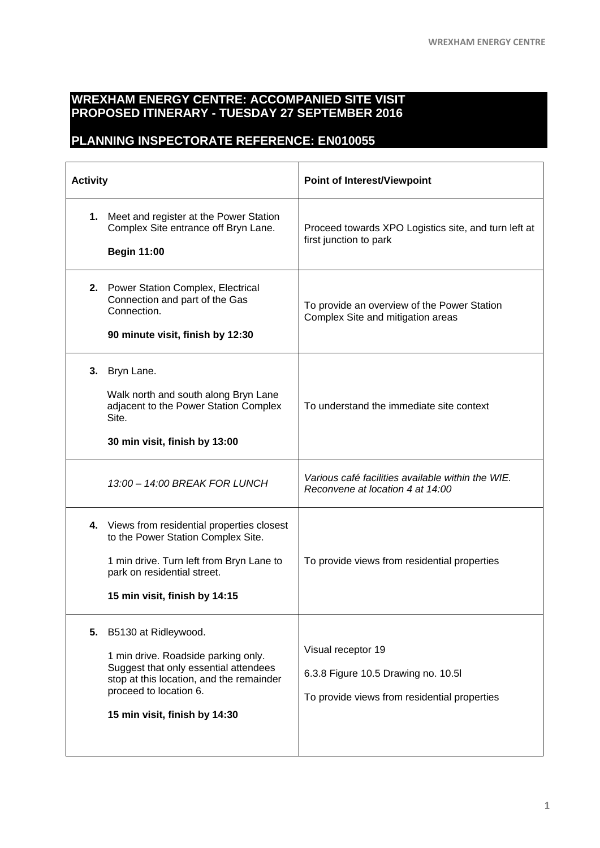## **WREXHAM ENERGY CENTRE: ACCOMPANIED SITE VISIT PROPOSED ITINERARY - TUESDAY 27 SEPTEMBER 2016**

## **PLANNING INSPECTORATE REFERENCE: EN010055**

| <b>Activity</b> |                                                                                                                                                                                                             | <b>Point of Interest/Viewpoint</b>                                                                       |
|-----------------|-------------------------------------------------------------------------------------------------------------------------------------------------------------------------------------------------------------|----------------------------------------------------------------------------------------------------------|
| 1.              | Meet and register at the Power Station<br>Complex Site entrance off Bryn Lane.<br><b>Begin 11:00</b>                                                                                                        | Proceed towards XPO Logistics site, and turn left at<br>first junction to park                           |
|                 | 2. Power Station Complex, Electrical<br>Connection and part of the Gas<br>Connection.<br>90 minute visit, finish by 12:30                                                                                   | To provide an overview of the Power Station<br>Complex Site and mitigation areas                         |
| 3.              | Bryn Lane.<br>Walk north and south along Bryn Lane<br>adjacent to the Power Station Complex<br>Site.<br>30 min visit, finish by 13:00                                                                       | To understand the immediate site context                                                                 |
|                 | 13:00 - 14:00 BREAK FOR LUNCH                                                                                                                                                                               | Various café facilities available within the WIE.<br>Reconvene at location 4 at 14:00                    |
|                 | 4. Views from residential properties closest<br>to the Power Station Complex Site.<br>1 min drive. Turn left from Bryn Lane to<br>park on residential street.<br>15 min visit, finish by 14:15              | To provide views from residential properties                                                             |
| 5.              | B5130 at Ridleywood.<br>1 min drive. Roadside parking only.<br>Suggest that only essential attendees<br>stop at this location, and the remainder<br>proceed to location 6.<br>15 min visit, finish by 14:30 | Visual receptor 19<br>6.3.8 Figure 10.5 Drawing no. 10.5<br>To provide views from residential properties |